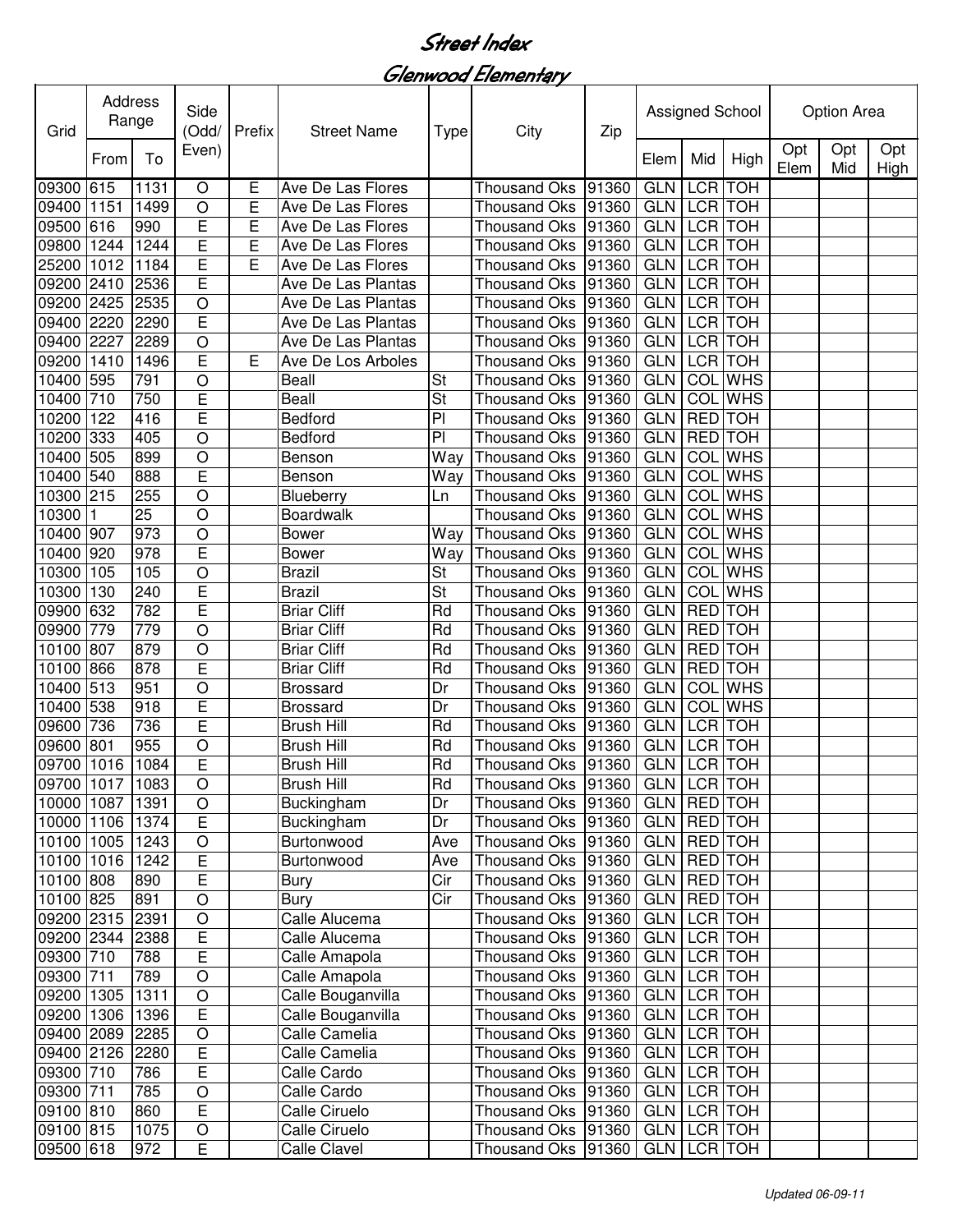Glenwood Elementary

| Grid            | <b>Address</b><br>Range |      | Side<br>(Odd/           | Prefix | <b>Street Name</b> |                | City                                   | Zip   | Assigned School |                  |                | Option Area |            |             |
|-----------------|-------------------------|------|-------------------------|--------|--------------------|----------------|----------------------------------------|-------|-----------------|------------------|----------------|-------------|------------|-------------|
|                 | From                    | To   | Even)                   |        |                    | Type           |                                        |       | Elem            | Mid              | High           | Opt<br>Elem | Opt<br>Mid | Opt<br>High |
| 09300 615       |                         | 1131 | $\circ$                 | Ε      | Ave De Las Flores  |                | <b>Thousand Oks</b>                    | 91360 | <b>GLN</b>      | <b>LCR</b>       | <b>TOH</b>     |             |            |             |
| 09400 1151      |                         | 1499 | $\circ$                 | E      | Ave De Las Flores  |                | <b>Thousand Oks</b>                    | 91360 | <b>GLN</b>      | LCR TOH          |                |             |            |             |
| 09500 616       |                         | 990  | E                       | E      | Ave De Las Flores  |                | <b>Thousand Oks</b>                    | 91360 | <b>GLN</b>      | <b>LCR</b> TOH   |                |             |            |             |
| 09800 1244      |                         | 1244 | E                       | E      | Ave De Las Flores  |                | <b>Thousand Oks</b>                    | 91360 | <b>GLN</b>      | <b>LCR</b> TOH   |                |             |            |             |
| 25200 1012      |                         | 1184 | E                       | E      | Ave De Las Flores  |                | <b>Thousand Oks</b>                    | 91360 | <b>GLN</b>      | <b>LCR</b>       | <b>TOH</b>     |             |            |             |
| 09200 2410      |                         | 2536 | E                       |        | Ave De Las Plantas |                | <b>Thousand Oks</b>                    | 91360 | <b>GLN</b>      | <b>LCR</b>       | <b>TOH</b>     |             |            |             |
| 09200 2425      |                         | 2535 | $\circ$                 |        | Ave De Las Plantas |                | <b>Thousand Oks</b>                    | 91360 | <b>GLN</b>      | <b>LCR</b>       | <b>TOH</b>     |             |            |             |
| 09400 2220      |                         | 2290 | E                       |        | Ave De Las Plantas |                | Thousand Oks                           | 91360 | <b>GLN</b>      | <b>LCR</b>       | <b>TOH</b>     |             |            |             |
| 09400 2227      |                         | 2289 | $\circ$                 |        | Ave De Las Plantas |                | <b>Thousand Oks</b>                    | 91360 | <b>GLN</b>      | <b>LCR</b>       | <b>TOH</b>     |             |            |             |
| 09200           | 1410                    | 1496 | E                       | Е      | Ave De Los Arboles |                | <b>Thousand Oks</b>                    | 91360 | <b>GLN</b>      |                  | LCR TOH        |             |            |             |
| 10400 595       |                         | 791  | $\overline{O}$          |        | <b>Beall</b>       | St             | <b>Thousand Oks</b>                    | 91360 | <b>GLN</b>      | COL              | <b>WHS</b>     |             |            |             |
| 10400 710       |                         | 750  | E                       |        | <b>Beall</b>       | St             | <b>Thousand Oks</b>                    | 91360 | <b>GLN</b>      | COL              | <b>WHS</b>     |             |            |             |
| 10200           | 122                     | 416  | E                       |        | Bedford            | P <sub>1</sub> | <b>Thousand Oks</b>                    | 91360 | <b>GLN</b>      | <b>RED</b>       | <b>TOH</b>     |             |            |             |
| 10200           | 333                     | 405  | O                       |        | Bedford            | PI             | <b>Thousand Oks</b>                    | 91360 | <b>GLN</b>      | <b>RED</b>       | <b>TOH</b>     |             |            |             |
| 10400 505       |                         | 899  | O                       |        | Benson             | Way            | <b>Thousand Oks</b>                    | 91360 | <b>GLN</b>      | COL              | <b>WHS</b>     |             |            |             |
| 10400 540       |                         | 888  | E                       |        | Benson             | Way            | <b>Thousand Oks</b>                    | 91360 | <b>GLN</b>      | COL              | <b>WHS</b>     |             |            |             |
| 10300 215       |                         | 255  | O                       |        | Blueberry          | Ln             | <b>Thousand Oks</b>                    | 91360 | <b>GLN</b>      | COL              | <b>WHS</b>     |             |            |             |
| 10300           |                         | 25   | O                       |        | Boardwalk          |                | <b>Thousand Oks</b>                    | 91360 | <b>GLN</b>      | COL              | <b>WHS</b>     |             |            |             |
| 10400 907       |                         | 973  | O                       |        | <b>Bower</b>       | Way            | <b>Thousand Oks</b>                    | 91360 | <b>GLN</b>      | COL              | <b>WHS</b>     |             |            |             |
| 10400 920       |                         | 978  | E                       |        | Bower              | Way            | <b>Thousand Oks</b>                    | 91360 | <b>GLN</b>      | COL              | <b>WHS</b>     |             |            |             |
| 10300 105       |                         | 105  | O                       |        | <b>Brazil</b>      | <b>St</b>      | <b>Thousand Oks</b>                    | 91360 | <b>GLN</b>      | COL              | <b>WHS</b>     |             |            |             |
| 10300           | 130                     | 240  | E                       |        | <b>Brazil</b>      | St             | <b>Thousand Oks</b>                    | 91360 | <b>GLN</b>      | COL              | <b>WHS</b>     |             |            |             |
| 09900 632       |                         | 782  | E                       |        | <b>Briar Cliff</b> | Rd             | Thousand Oks                           | 91360 | <b>GLN</b>      | <b>RED</b> TOH   |                |             |            |             |
| 09900 779       |                         | 779  | $\overline{O}$          |        | <b>Briar Cliff</b> | Rd             | Thousand Oks                           | 91360 | <b>GLN</b>      | RED TOH          |                |             |            |             |
| 10100 807       |                         | 879  | O                       |        | <b>Briar Cliff</b> | Rd             | <b>Thousand Oks</b>                    | 91360 | <b>GLN</b>      | <b>RED</b>       | <b>TOH</b>     |             |            |             |
| 10100 866       |                         | 878  | E                       |        | <b>Briar Cliff</b> | Rd             | <b>Thousand Oks</b>                    | 91360 | <b>GLN</b>      | <b>RED</b>       | <b>TOH</b>     |             |            |             |
| 10400 513       |                         | 951  | O                       |        | <b>Brossard</b>    | Dr             | <b>Thousand Oks</b>                    | 91360 | <b>GLN</b>      |                  | <b>COL</b> WHS |             |            |             |
| 10400 538       |                         | 918  | E                       |        | <b>Brossard</b>    | Dr             | <b>Thousand Oks</b>                    | 91360 | <b>GLN</b>      | $\overline{COL}$ | <b>WHS</b>     |             |            |             |
| 09600           | 736                     | 736  | Ē                       |        | <b>Brush Hill</b>  | Rd             | <b>Thousand Oks</b>                    | 91360 | <b>GLN</b>      |                  | <b>LCR</b> TOH |             |            |             |
| 09600           | 801                     | 955  | O                       |        | <b>Brush Hill</b>  | Rd             | <b>Thousand Oks</b>                    | 91360 | <b>GLN</b>      | <b>LCR</b>       | <b>TOH</b>     |             |            |             |
| 09700 1016      |                         | 1084 | E                       |        | <b>Brush Hill</b>  | Rd             | <b>Thousand Oks</b>                    | 91360 | <b>GLN</b>      | LCR TOH          |                |             |            |             |
| 09700 1017 1083 |                         |      | O                       |        | <b>Brush Hill</b>  | Rd             | Thousand Oks   91360   GLN   LCR   TOH |       |                 |                  |                |             |            |             |
| 10000 1087      |                         | 1391 | $\circ$                 |        | Buckingham         | Dr             | Thousand Oks 91360                     |       | GLN RED TOH     |                  |                |             |            |             |
| 10000 1106      |                         | 1374 | E                       |        | Buckingham         | Dr             | Thousand Oks 91360                     |       | <b>GLN</b>      | <b>RED</b> TOH   |                |             |            |             |
| 10100 1005      |                         | 1243 | $\bigcirc$              |        | Burtonwood         | Ave            | Thousand Oks 91360                     |       | GLN             | <b>RED</b> TOH   |                |             |            |             |
| 10100 1016      |                         | 1242 | $\overline{\mathsf{E}}$ |        | Burtonwood         | Ave            | Thousand Oks 91360                     |       | <b>GLN</b>      | <b>RED</b> TOH   |                |             |            |             |
| 10100 808       |                         | 890  | E                       |        | Bury               | Cir            | Thousand Oks 91360                     |       | <b>GLN</b>      | <b>RED</b> TOH   |                |             |            |             |
| 10100 825       |                         | 891  | $\circ$                 |        | <b>Bury</b>        | Cir            | Thousand Oks   91360                   |       | <b>GLN</b>      | <b>RED</b> TOH   |                |             |            |             |
| 09200 2315      |                         | 2391 | $\circ$                 |        | Calle Alucema      |                | Thousand Oks 91360                     |       | <b>GLN</b>      | <b>LCR</b> TOH   |                |             |            |             |
| 09200 2344      |                         | 2388 | $\overline{E}$          |        | Calle Alucema      |                | Thousand Oks 91360                     |       | GLN LCR TOH     |                  |                |             |            |             |
| 09300 710       |                         | 788  | E                       |        | Calle Amapola      |                | Thousand Oks 91360                     |       | GLN LCR TOH     |                  |                |             |            |             |
| 09300 711       |                         | 789  | $\overline{O}$          |        | Calle Amapola      |                | Thousand Oks 91360                     |       | GLN LCR TOH     |                  |                |             |            |             |
| 09200 1305      |                         | 1311 | $\overline{O}$          |        | Calle Bouganvilla  |                | Thousand Oks 91360                     |       |                 | GLN LCR TOH      |                |             |            |             |
| 09200 1306      |                         | 1396 | $\overline{\mathsf{E}}$ |        | Calle Bouganvilla  |                | Thousand Oks 91360                     |       |                 | GLN LCR TOH      |                |             |            |             |
| 09400 2089      |                         | 2285 | $\overline{O}$          |        | Calle Camelia      |                | Thousand Oks 91360                     |       | GLN LCR TOH     |                  |                |             |            |             |
| 09400 2126      |                         | 2280 | $\overline{E}$          |        | Calle Camelia      |                | Thousand Oks 91360                     |       | <b>GLN</b>      | LCR TOH          |                |             |            |             |
| 09300 710       |                         | 786  | $\overline{\mathsf{E}}$ |        | Calle Cardo        |                | Thousand Oks 91360                     |       | GLN   LCR   TOH |                  |                |             |            |             |
| 09300 711       |                         | 785  | $\bigcirc$              |        | Calle Cardo        |                | Thousand Oks 91360                     |       | GLN   LCR   TOH |                  |                |             |            |             |
| 09100 810       |                         | 860  | E                       |        | Calle Ciruelo      |                | Thousand Oks 91360                     |       | GLN   LCR   TOH |                  |                |             |            |             |
| 09100 815       |                         | 1075 | $\bigcirc$              |        | Calle Ciruelo      |                | Thousand Oks 91360                     |       | GLN LCR TOH     |                  |                |             |            |             |
| 09500 618       |                         | 972  | E                       |        | Calle Clavel       |                | Thousand Oks 91360                     |       | GLN LCR TOH     |                  |                |             |            |             |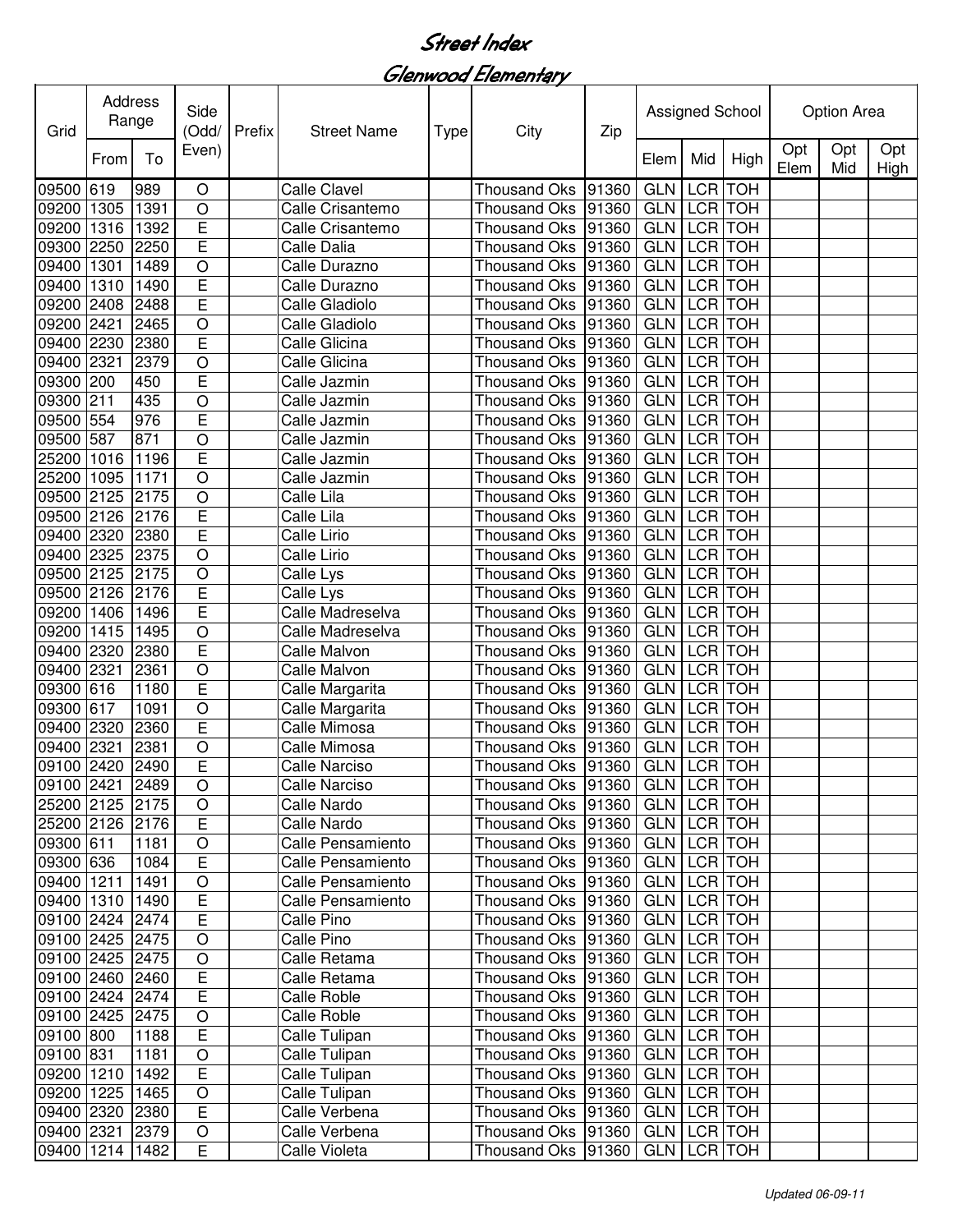Glenwood Elementary

| Grid                               | Address<br>Range |      | Side<br>(Odd/           | <b>Prefix</b> | <b>Street Name</b>             | <b>Type</b> | City                                                            | Zip   | Assigned School |                |            | <b>Option Area</b> |            |             |
|------------------------------------|------------------|------|-------------------------|---------------|--------------------------------|-------------|-----------------------------------------------------------------|-------|-----------------|----------------|------------|--------------------|------------|-------------|
|                                    | From             | To   | Even)                   |               |                                |             |                                                                 |       | Elem            | Mid            | High       | Opt<br>Elem        | Opt<br>Mid | Opt<br>High |
| 09500 619                          |                  | 989  | $\circ$                 |               | <b>Calle Clavel</b>            |             | <b>Thousand Oks</b>                                             | 91360 | <b>GLN</b>      | <b>LCR</b>     | <b>TOH</b> |                    |            |             |
| 09200 1305                         |                  | 1391 | $\circ$                 |               | Calle Crisantemo               |             | Thousand Oks                                                    | 91360 | <b>GLN</b>      | LCR TOH        |            |                    |            |             |
| 09200                              | 1316             | 1392 | E                       |               | Calle Crisantemo               |             | Thousand Oks                                                    | 91360 | <b>GLN</b>      | <b>LCR</b>     | <b>TOH</b> |                    |            |             |
| 09300                              | 2250             | 2250 | $\overline{E}$          |               | Calle Dalia                    |             | <b>Thousand Oks</b>                                             | 91360 | <b>GLN</b>      | <b>LCR</b>     | <b>TOH</b> |                    |            |             |
| 09400 1301                         |                  | 1489 | $\overline{\rm o}$      |               | Calle Durazno                  |             | Thousand Oks                                                    | 91360 | <b>GLN</b>      | <b>LCR</b>     | <b>TOH</b> |                    |            |             |
| 09400                              | 1310             | 1490 | $\overline{E}$          |               | Calle Durazno                  |             | <b>Thousand Oks</b>                                             | 91360 | <b>GLN</b>      | <b>LCR</b>     | <b>TOH</b> |                    |            |             |
| 09200 2408                         |                  | 2488 | Ē                       |               | Calle Gladiolo                 |             | <b>Thousand Oks</b>                                             | 91360 | <b>GLN</b>      | <b>LCR</b>     | <b>TOH</b> |                    |            |             |
| 09200 2421                         |                  | 2465 | $\circ$                 |               | Calle Gladiolo                 |             | Thousand Oks                                                    | 91360 | <b>GLN</b>      | <b>LCR</b>     | <b>TOH</b> |                    |            |             |
| 09400 2230                         |                  | 2380 | Ē                       |               | Calle Glicina                  |             | <b>Thousand Oks</b>                                             | 91360 | <b>GLN</b>      | LCR TOH        |            |                    |            |             |
| 09400 2321                         |                  | 2379 | $\bigcirc$              |               | Calle Glicina                  |             | <b>Thousand Oks</b>                                             | 91360 | <b>GLN</b>      | <b>LCR</b>     | <b>TOH</b> |                    |            |             |
| 09300 200                          |                  | 450  | E                       |               | Calle Jazmin                   |             | <b>Thousand Oks</b>                                             | 91360 | <b>GLN</b>      | LCR TOH        |            |                    |            |             |
| 09300 211                          |                  | 435  | O                       |               | Calle Jazmin                   |             | <b>Thousand Oks</b>                                             | 91360 | <b>GLN</b>      | <b>LCR</b> TOH |            |                    |            |             |
| 09500 554                          |                  | 976  | E                       |               | Calle Jazmin                   |             | <b>Thousand Oks</b>                                             | 91360 | <b>GLN</b>      | LCR TOH        |            |                    |            |             |
| 09500 587                          |                  | 871  | $\circ$                 |               | Calle Jazmin                   |             | <b>Thousand Oks</b>                                             | 91360 | <b>GLN</b>      | <b>LCR</b>     | <b>TOH</b> |                    |            |             |
| 25200 1016                         |                  | 1196 | E                       |               | Calle Jazmin                   |             | <b>Thousand Oks</b>                                             | 91360 | <b>GLN</b>      | <b>LCR</b>     | <b>TOH</b> |                    |            |             |
| 25200 1095                         |                  | 1171 | $\circ$                 |               | Calle Jazmin                   |             | Thousand Oks 91360                                              |       | <b>GLN</b>      | <b>LCR</b>     | <b>TOH</b> |                    |            |             |
| 09500 2125                         |                  | 2175 | $\circ$                 |               | Calle Lila                     |             | <b>Thousand Oks</b>                                             | 91360 | <b>GLN</b>      | <b>LCR</b>     | <b>TOH</b> |                    |            |             |
| 09500 2126                         |                  | 2176 | E                       |               | Calle Lila                     |             | <b>Thousand Oks</b>                                             | 91360 | <b>GLN</b>      | <b>LCR</b>     | <b>TOH</b> |                    |            |             |
| 09400 2320                         |                  | 2380 | $\overline{\mathsf{E}}$ |               | Calle Lirio                    |             | <b>Thousand Oks</b>                                             | 91360 | <b>GLN</b>      | <b>LCR</b>     | <b>TOH</b> |                    |            |             |
| 09400 2325                         |                  | 2375 | $\overline{O}$          |               | Calle Lirio                    |             | <b>Thousand Oks</b>                                             | 91360 | <b>GLN</b>      | <b>LCR</b>     | <b>TOH</b> |                    |            |             |
| 09500 2125                         |                  | 2175 | $\overline{O}$          |               | Calle Lys                      |             | <b>Thousand Oks</b>                                             | 91360 | <b>GLN</b>      | <b>LCR</b>     | <b>TOH</b> |                    |            |             |
| 09500 2126                         |                  | 2176 | Ē                       |               | Calle Lys                      |             | <b>Thousand Oks</b>                                             | 91360 | <b>GLN</b>      | LCR TOH        |            |                    |            |             |
| 09200 1406                         |                  | 1496 | Ē                       |               | Calle Madreselva               |             | <b>Thousand Oks</b>                                             | 91360 | <b>GLN</b>      | <b>LCR</b>     | <b>TOH</b> |                    |            |             |
| 09200 1415                         |                  | 1495 | $\circ$                 |               | Calle Madreselva               |             | <b>Thousand Oks</b>                                             | 91360 | <b>GLN</b>      | <b>LCR</b>     | <b>TOH</b> |                    |            |             |
| 09400 2320                         |                  | 2380 | Ē                       |               | Calle Malvon                   |             | <b>Thousand Oks</b>                                             | 91360 | <b>GLN</b>      | <b>LCR</b>     | <b>TOH</b> |                    |            |             |
| 09400 2321                         |                  | 2361 | $\bigcirc$              |               | Calle Malvon                   |             | <b>Thousand Oks</b>                                             | 91360 | <b>GLN</b>      | LCR TOH        |            |                    |            |             |
| 09300 616                          |                  | 1180 | E                       |               | Calle Margarita                |             | <b>Thousand Oks</b>                                             | 91360 | <b>GLN</b>      | <b>LCR</b>     | <b>TOH</b> |                    |            |             |
| 09300 617                          |                  | 1091 | $\circ$                 |               | Calle Margarita                |             | <b>Thousand Oks</b>                                             | 91360 | <b>GLN</b>      | LCR TOH        |            |                    |            |             |
| 09400 2320                         |                  | 2360 | E                       |               | Calle Mimosa                   |             | <b>Thousand Oks</b>                                             | 91360 | <b>GLN</b>      | LCR TOH        |            |                    |            |             |
| 09400 2321                         |                  | 2381 | $\circ$                 |               | Calle Mimosa                   |             | <b>Thousand Oks</b>                                             | 91360 | <b>GLN</b>      | LCR TOH        |            |                    |            |             |
| 09100 2420                         |                  | 2490 | E                       |               | Calle Narciso                  |             | Thousand Oks 91360                                              |       | <b>GLN</b>      | LCR TOH        |            |                    |            |             |
| 09100 2421 2489                    |                  |      | $\overline{O}$          |               | Calle Narciso                  |             | Thousand Oks 91360 GLN LCR TOH                                  |       |                 |                |            |                    |            |             |
| 25200 2125 2175                    |                  |      | $\circ$                 |               | Calle Nardo                    |             | Thousand Oks  91360   GLN   LCR   TOH                           |       |                 |                |            |                    |            |             |
| 25200 2126 2176                    |                  |      | E                       |               | Calle Nardo                    |             | Thousand Oks   91360   GLN   LCR   TOH                          |       |                 |                |            |                    |            |             |
| 09300 611                          |                  | 1181 | $\circ$                 |               | Calle Pensamiento              |             | Thousand Oks   91360                                            |       | GLN LCR TOH     |                |            |                    |            |             |
| 09300 636                          |                  | 1084 | E                       |               | Calle Pensamiento              |             | Thousand Oks   91360                                            |       | GLN LCR TOH     |                |            |                    |            |             |
| 09400 1211                         |                  | 1491 | $\bigcirc$              |               | Calle Pensamiento              |             | Thousand Oks 91360                                              |       | GLN LCR TOH     |                |            |                    |            |             |
| 09400 1310                         |                  | 1490 | $\overline{E}$          |               | Calle Pensamiento              |             | Thousand Oks 91360                                              |       | GLN LCR TOH     |                |            |                    |            |             |
| 09100 2424 2474                    |                  |      | E                       |               | Calle Pino                     |             | Thousand Oks 91360                                              |       | GLN LCR TOH     |                |            |                    |            |             |
| 09100 2425 2475                    |                  |      | $\circ$                 |               | Calle Pino                     |             | Thousand Oks 91360                                              |       | GLN LCR TOH     |                |            |                    |            |             |
| 09100 2425 2475                    |                  |      | $\circ$                 |               | Calle Retama                   |             | Thousand Oks   91360   GLN   LCR   TOH                          |       |                 |                |            |                    |            |             |
| 09100 2460 2460                    |                  |      | $\overline{E}$          |               | Calle Retama                   |             | Thousand Oks  91360   GLN   LCR   TOH                           |       |                 |                |            |                    |            |             |
| 09100 2424 2474                    |                  |      | E                       |               | Calle Roble                    |             | Thousand Oks 91360                                              |       | GLN LCR TOH     |                |            |                    |            |             |
| 09100 2425 2475                    |                  |      | $\circ$                 |               | Calle Roble                    |             | Thousand Oks 91360                                              |       | GLN LCR TOH     |                |            |                    |            |             |
| 09100 800                          |                  | 1188 | E                       |               | Calle Tulipan                  |             | Thousand Oks   91360                                            |       | GLN LCR TOH     |                |            |                    |            |             |
| 09100 831                          |                  | 1181 | $\circ$                 |               | Calle Tulipan                  |             | Thousand Oks   91360   GLN   LCR   TOH                          |       |                 |                |            |                    |            |             |
| 09200 1210                         |                  | 1492 | E                       |               | Calle Tulipan                  |             | Thousand Oks   91360   GLN   LCR   TOH                          |       |                 |                |            |                    |            |             |
| 09200 1225                         |                  | 1465 | $\circ$                 |               | Calle Tulipan                  |             | Thousand Oks   91360   GLN   LCR   TOH                          |       |                 |                |            |                    |            |             |
|                                    |                  |      | $\overline{E}$          |               |                                |             |                                                                 |       | GLN LCR TOH     |                |            |                    |            |             |
| 09400 2320 2380<br>09400 2321 2379 |                  |      |                         |               | Calle Verbena<br>Calle Verbena |             | Thousand Oks   91360  <br>Thousand Oks  91360   GLN   LCR   TOH |       |                 |                |            |                    |            |             |
|                                    |                  |      | $\circ$                 |               |                                |             |                                                                 |       |                 |                |            |                    |            |             |
| 09400 1214 1482                    |                  |      | E                       |               | Calle Violeta                  |             | Thousand Oks  91360   GLN   LCR TOH                             |       |                 |                |            |                    |            |             |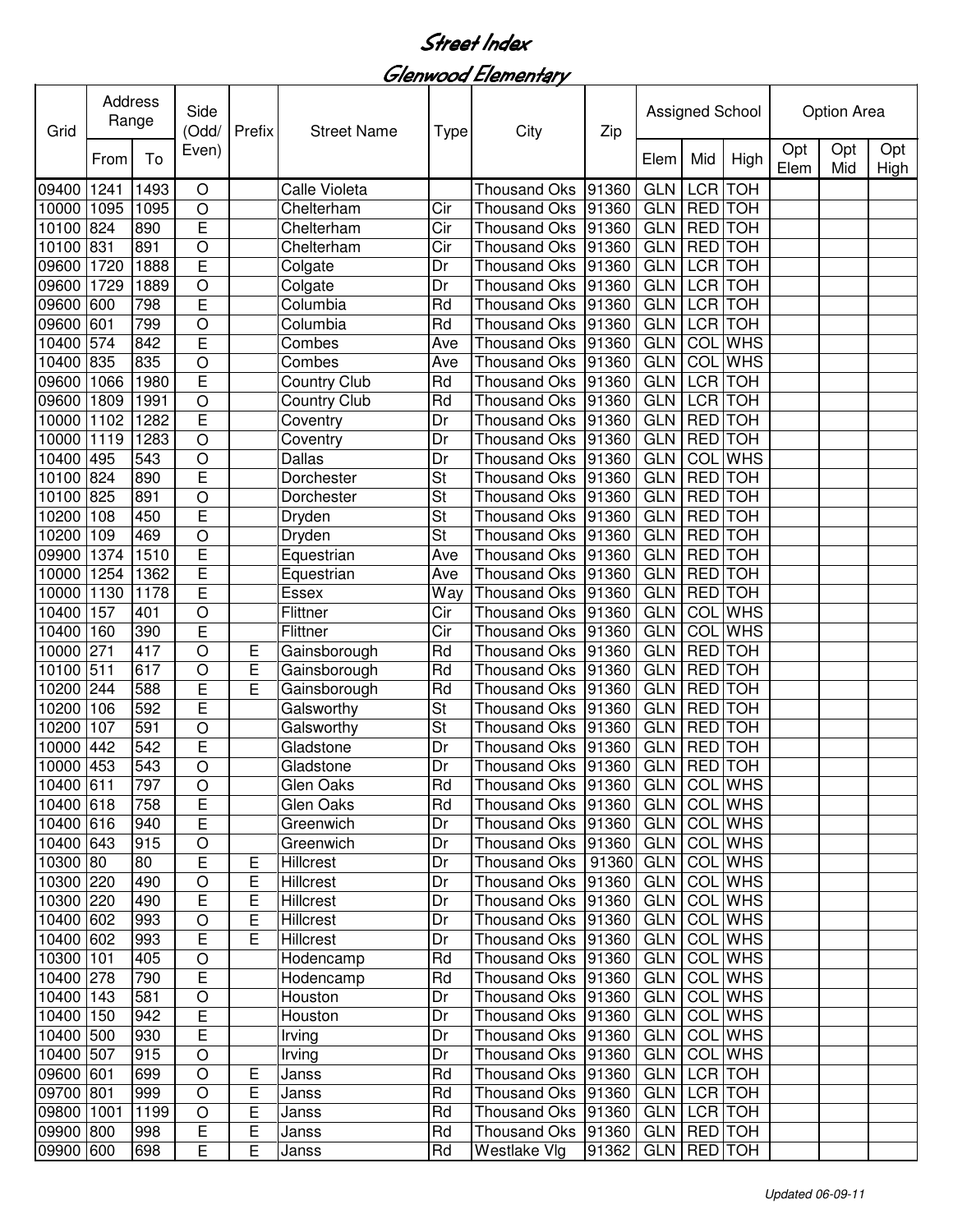Glenwood Elementary

| Grid       | Address<br>Range |      | Side<br>(Odd/      | Prefix      | <b>Street Name</b>  | <b>Type</b>              | City                                 | Zip                     | Assigned School |                |                | <b>Option Area</b> |            |             |
|------------|------------------|------|--------------------|-------------|---------------------|--------------------------|--------------------------------------|-------------------------|-----------------|----------------|----------------|--------------------|------------|-------------|
|            | From             | To   | Even)              |             |                     |                          |                                      |                         | Elem            | Mid            | High           | Opt<br>Elem        | Opt<br>Mid | Opt<br>High |
| 09400      | 1241             | 1493 | $\circ$            |             | Calle Violeta       |                          | <b>Thousand Oks</b>                  | 91360                   | <b>GLN</b>      | <b>LCR</b>     | <b>TOH</b>     |                    |            |             |
| 10000 1095 |                  | 1095 | $\circ$            |             | Chelterham          | Cir                      | <b>Thousand Oks</b>                  | 91360                   | <b>GLN</b>      | RED TOH        |                |                    |            |             |
| 10100 824  |                  | 890  | E                  |             | Chelterham          | Cir                      | <b>Thousand Oks</b>                  | 91360                   | <b>GLN</b>      | RED TOH        |                |                    |            |             |
| 10100 831  |                  | 891  | $\circ$            |             | Chelterham          | Cir                      | <b>Thousand Oks</b>                  | 91360                   | <b>GLN</b>      | <b>RED</b>     | <b>TOH</b>     |                    |            |             |
| 09600      | 1720             | 1888 | $\overline{E}$     |             | Colgate             | Dr                       | <b>Thousand Oks</b>                  | 91360                   | <b>GLN</b>      | LCR TOH        |                |                    |            |             |
| 09600 1729 |                  | 1889 | $\circ$            |             | Colgate             | Dr                       | <b>Thousand Oks</b>                  | 91360                   | <b>GLN</b>      | LCR TOH        |                |                    |            |             |
| 09600      | 600              | 798  | E                  |             | Columbia            | Rd                       | Thousand Oks                         | 91360                   | <b>GLN</b>      | <b>LCR</b>     | <b>TOH</b>     |                    |            |             |
| 09600      | 601              | 799  | O                  |             | Columbia            | Rd                       | <b>Thousand Oks</b>                  | 91360                   | <b>GLN</b>      | <b>LCR</b>     | <b>TOH</b>     |                    |            |             |
| 10400      | 574              | 842  | E                  |             | Combes              | Ave                      | <b>Thousand Oks</b>                  | 91360                   | <b>GLN</b>      |                | <b>COL</b> WHS |                    |            |             |
| 10400 835  |                  | 835  | O                  |             | Combes              | Ave                      | <b>Thousand Oks</b>                  | 91360                   | <b>GLN</b>      |                | <b>COL</b> WHS |                    |            |             |
| 09600 1066 |                  | 1980 | E                  |             | <b>Country Club</b> | Rd                       | <b>Thousand Oks</b>                  | 91360                   | <b>GLN</b>      | <b>LCR</b>     | <b>TOH</b>     |                    |            |             |
| 09600 1809 |                  | 1991 | $\circ$            |             | <b>Country Club</b> | Rd                       | <b>Thousand Oks</b>                  | 91360                   | <b>GLN</b>      | LCR TOH        |                |                    |            |             |
| 10000 1102 |                  | 1282 | E                  |             | Coventry            | Dr                       | <b>Thousand Oks</b>                  | 91360                   | <b>GLN</b>      | <b>RED</b>     | <b>TOH</b>     |                    |            |             |
| 10000 1119 |                  | 1283 | $\circ$            |             | Coventry            | Dr                       | <b>Thousand Oks</b>                  | 91360                   | <b>GLN</b>      | <b>RED</b>     | <b>TOH</b>     |                    |            |             |
| 10400 495  |                  | 543  | O                  |             | Dallas              | Dr                       | <b>Thousand Oks</b>                  | 91360                   | <b>GLN</b>      |                | <b>COL</b> WHS |                    |            |             |
| 10100 824  |                  | 890  | E                  |             | Dorchester          | $\overline{\mathsf{St}}$ | <b>Thousand Oks</b>                  | 91360                   | <b>GLN</b>      | <b>RED</b>     | <b>HOT</b>     |                    |            |             |
| 10100 825  |                  | 891  | O                  |             | Dorchester          | St                       | <b>Thousand Oks</b>                  | 91360                   | <b>GLN</b>      | <b>RED</b> TOH |                |                    |            |             |
| 10200      | 108              | 450  | E                  |             | Dryden              | St                       | <b>Thousand Oks</b>                  | 91360                   | <b>GLN</b>      | <b>RED</b> TOH |                |                    |            |             |
| 10200      | 109              | 469  | $\overline{\rm o}$ |             | Dryden              | St                       | <b>Thousand Oks</b>                  | 91360                   | <b>GLN</b>      | <b>RED</b> TOH |                |                    |            |             |
| 09900      | 1374             | 1510 | E                  |             | Equestrian          | Ave                      | <b>Thousand Oks</b>                  | 91360                   | <b>GLN</b>      | <b>RED</b>     | <b>TOH</b>     |                    |            |             |
| 10000      | 1254             | 1362 | E                  |             | Equestrian          | Ave                      | <b>Thousand Oks</b>                  | 91360                   | <b>GLN</b>      | <b>RED</b>     | <b>TOH</b>     |                    |            |             |
| 10000      | 1130             | 1178 | Ē                  |             | <b>Essex</b>        | Way                      | <b>Thousand Oks</b>                  | 91360                   | <b>GLN</b>      | <b>RED</b>     | <b>HOT</b>     |                    |            |             |
| 10400 157  |                  | 401  | O                  |             | Flittner            | Cir                      | <b>Thousand Oks</b>                  | 91360                   | <b>GLN</b>      |                | <b>COL</b> WHS |                    |            |             |
| 10400      | 160              | 390  | E                  |             | Flittner            | Cir                      | <b>Thousand Oks</b>                  | 91360                   | <b>GLN</b>      | COL            | <b>WHS</b>     |                    |            |             |
| 10000      | 271              | 417  | O                  | Е           | Gainsborough        | Rd                       | <b>Thousand Oks</b>                  | 91360                   | <b>GLN</b>      | <b>RED</b>     | <b>TOH</b>     |                    |            |             |
| 10100 511  |                  | 617  | $\circ$            | E           | Gainsborough        | Rd                       | <b>Thousand Oks</b>                  | 91360                   | <b>GLN</b>      | <b>RED</b>     | <b>TOH</b>     |                    |            |             |
| 10200 244  |                  | 588  | E                  | E           | Gainsborough        | Rd                       | <b>Thousand Oks</b>                  | 91360                   | <b>GLN</b>      | RED TOH        |                |                    |            |             |
| 10200 106  |                  | 592  | E                  |             | Galsworthy          | <b>St</b>                | <b>Thousand Oks</b>                  | 91360                   | <b>GLN</b>      | RED TOH        |                |                    |            |             |
| 10200 107  |                  | 591  | O                  |             | Galsworthy          | St                       | <b>Thousand Oks</b>                  | 91360                   | <b>GLN</b>      | RED TOH        |                |                    |            |             |
| 10000      | 442              | 542  | E                  |             | Gladstone           | Dr                       | <b>Thousand Oks</b>                  | 91360                   | <b>GLN</b>      | <b>RED</b>     | <b>TOH</b>     |                    |            |             |
| 10000 453  |                  | 543  | $\circ$            |             | Gladstone           | Dr                       | Thousand Oks 91360                   |                         | <b>GLN</b>      | RED TOH        |                |                    |            |             |
| 10400 611  |                  | 797  | $\bigcirc$         |             | Glen Oaks           | Rd                       | Thousand Oks 91360 GLN COL WHS       |                         |                 |                |                |                    |            |             |
| 10400 618  |                  | 758  | E                  |             | Glen Oaks           | Rd                       | Thousand Oks   91360   GLN   COL WHS |                         |                 |                |                |                    |            |             |
| 10400 616  |                  | 940  | E                  |             | Greenwich           | Dr                       | Thousand Oks   91360                 |                         | GLN COL WHS     |                |                |                    |            |             |
| 10400 643  |                  | 915  | $\bigcirc$         |             | Greenwich           | Dr                       | Thousand Oks 91360                   |                         | GLN             |                | <b>COL</b> WHS |                    |            |             |
| 10300 80   |                  | 80   | E                  | Ε           | Hillcrest           | Dr                       | Thousand Oks   91360                 |                         | <b>GLN</b>      |                | <b>COL</b> WHS |                    |            |             |
| 10300 220  |                  | 490  | $\bigcirc$         | Е           | Hillcrest           | Dr                       | Thousand Oks   91360                 |                         | <b>GLN</b>      |                | COL WHS        |                    |            |             |
| 10300 220  |                  | 490  | E                  | E           | Hillcrest           | Dr                       | Thousand Oks   91360                 |                         | <b>GLN</b>      |                | COL WHS        |                    |            |             |
| 10400 602  |                  | 993  | O                  | E           | Hillcrest           | Dr                       | Thousand Oks 91360                   |                         | <b>GLN</b>      |                | COL WHS        |                    |            |             |
| 10400 602  |                  | 993  | E                  | E           | Hillcrest           | Dr                       | Thousand Oks   91360                 |                         | <b>GLN</b>      |                | <b>COL</b> WHS |                    |            |             |
| 10300 101  |                  | 405  | $\circ$            |             | Hodencamp           | Rd                       | Thousand Oks 91360                   |                         | GLN             |                | COL WHS        |                    |            |             |
| 10400 278  |                  | 790  | E                  |             | Hodencamp           | Rd                       | Thousand Oks   91360                 |                         | GLN COL WHS     |                |                |                    |            |             |
| 10400 143  |                  | 581  | O                  |             | Houston             | Dr                       | Thousand Oks   91360                 |                         | GLN COL WHS     |                |                |                    |            |             |
| 10400 150  |                  | 942  | E                  |             | Houston             | Dr                       | Thousand Oks 91360                   |                         | <b>GLN</b>      |                | COL WHS        |                    |            |             |
| 10400 500  |                  | 930  | E                  |             | Irving              | Dr                       | Thousand Oks 91360                   |                         | GLN             |                | <b>COL</b> WHS |                    |            |             |
| 10400 507  |                  | 915  | $\circ$            |             | Irving              | Dr                       | Thousand Oks   91360                 |                         | <b>GLN</b>      |                | <b>COL</b> WHS |                    |            |             |
| 09600 601  |                  | 699  | $\circ$            | $\mathsf E$ | Janss               | Rd                       | Thousand Oks 91360                   |                         | GLN             | LCR TOH        |                |                    |            |             |
| 09700 801  |                  | 999  | $\circ$            | E           | Janss               | Rd                       | Thousand Oks 91360                   |                         | <b>GLN</b>      | LCR TOH        |                |                    |            |             |
| 09800 1001 |                  | 1199 | $\circ$            | $\mathsf E$ | Janss               | Rd                       | Thousand Oks   91360                 |                         | <b>GLN</b>      | LCR TOH        |                |                    |            |             |
| 09900 800  |                  | 998  | E                  | $\mathsf E$ | Janss               | Rd                       | Thousand Oks 91360                   |                         | GLN RED TOH     |                |                |                    |            |             |
| 09900 600  |                  | 698  | E                  | E           | Janss               | Rd                       | Westlake Vlg                         | 91362   GLN   RED   TOH |                 |                |                |                    |            |             |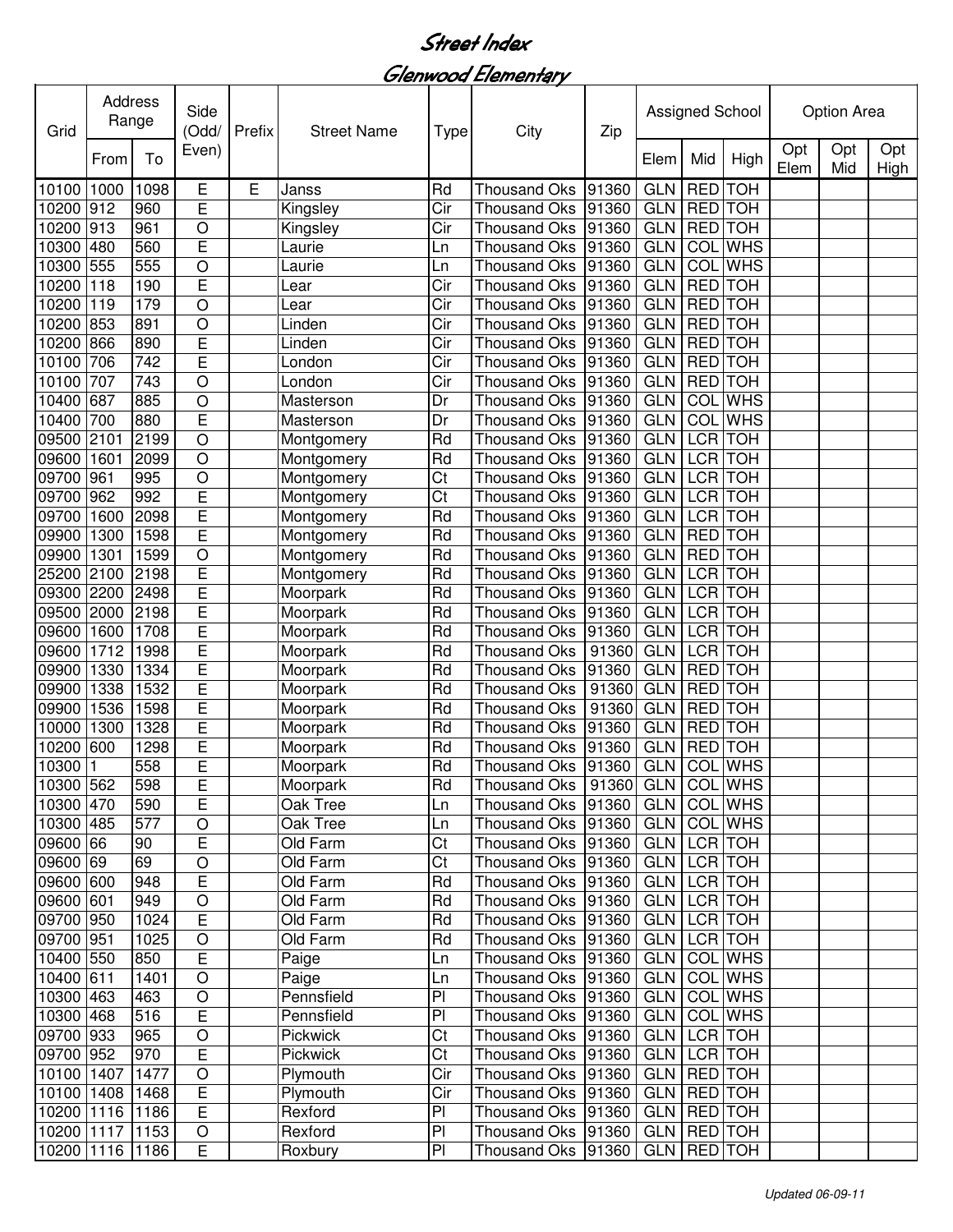Glenwood Elementary

| <b>Address</b><br>Grid |      | Range | Side<br>(Odd/           | Prefix | <b>Street Name</b> | <b>Type</b>            | City                                   | Zip   | Assigned School |                |                | Option Area |            |             |
|------------------------|------|-------|-------------------------|--------|--------------------|------------------------|----------------------------------------|-------|-----------------|----------------|----------------|-------------|------------|-------------|
|                        | From | To    | Even)                   |        |                    |                        |                                        |       | Elem            | Mid            | High           | Opt<br>Elem | Opt<br>Mid | Opt<br>High |
| 10100 1000             |      | 1098  | E                       | E      | Janss              | Rd                     | <b>Thousand Oks</b>                    | 91360 | <b>GLN</b>      | <b>RED</b>     | <b>TOH</b>     |             |            |             |
| 10200 912              |      | 960   | E                       |        | Kingsley           | Cir                    | <b>Thousand Oks</b>                    | 91360 | <b>GLN</b>      | <b>RED</b>     | <b>TOH</b>     |             |            |             |
| 10200 913              |      | 961   | O                       |        | Kingsley           | Cir                    | <b>Thousand Oks</b>                    | 91360 | <b>GLN</b>      | RED TOH        |                |             |            |             |
| 10300 480              |      | 560   | E                       |        | Laurie             | Ln                     | <b>Thousand Oks</b>                    | 91360 | <b>GLN</b>      |                | <b>COL</b> WHS |             |            |             |
| 10300 555              |      | 555   | O                       |        | Laurie             | Ln                     | <b>Thousand Oks</b>                    | 91360 | <b>GLN</b>      | COL            | <b>WHS</b>     |             |            |             |
| 10200 118              |      | 190   | E                       |        | Lear               | Cir                    | <b>Thousand Oks</b>                    | 91360 | <b>GLN</b>      | <b>RED</b>     | <b>TOH</b>     |             |            |             |
| 10200                  | 119  | 179   | $\circ$                 |        | Lear               | Cir                    | <b>Thousand Oks</b>                    | 91360 | <b>GLN</b>      | <b>RED</b>     | <b>TOH</b>     |             |            |             |
| 10200 853              |      | 891   | O                       |        | Linden             | Cir                    | <b>Thousand Oks</b>                    | 91360 | <b>GLN</b>      | <b>RED</b>     | <b>TOH</b>     |             |            |             |
| 10200                  | 866  | 890   | E                       |        | Linden             | Cir                    | <b>Thousand Oks</b>                    | 91360 | <b>GLN</b>      | <b>RED</b>     | <b>TOH</b>     |             |            |             |
| 10100                  | 706  | 742   | Ē                       |        | London             | Cir                    | <b>Thousand Oks</b>                    | 91360 | <b>GLN</b>      | <b>RED</b>     | <b>TOH</b>     |             |            |             |
| 10100                  | 707  | 743   | O                       |        | London             | Cir                    | <b>Thousand Oks</b>                    | 91360 | <b>GLN</b>      | <b>RED</b>     | <b>TOH</b>     |             |            |             |
| 10400 687              |      | 885   | O                       |        | Masterson          | Dr                     | <b>Thousand Oks</b>                    | 91360 | <b>GLN</b>      | COL            | <b>WHS</b>     |             |            |             |
| 10400                  | 700  | 880   | E                       |        | Masterson          | Dr                     | <b>Thousand Oks</b>                    | 91360 | <b>GLN</b>      | COL            | <b>WHS</b>     |             |            |             |
| 09500 2101             |      | 2199  | $\circ$                 |        | Montgomery         | Rd                     | <b>Thousand Oks</b>                    | 91360 | <b>GLN</b>      | <b>LCR</b>     | <b>TOH</b>     |             |            |             |
| 09600 1601             |      | 2099  | $\circ$                 |        | Montgomery         | Rd                     | <b>Thousand Oks</b>                    | 91360 | <b>GLN</b>      | <b>LCR</b>     | <b>TOH</b>     |             |            |             |
| 09700 961              |      | 995   | O                       |        | Montgomery         | Ct                     | <b>Thousand Oks</b>                    | 91360 | <b>GLN</b>      | <b>LCR</b>     | <b>TOH</b>     |             |            |             |
| 09700 962              |      | 992   | E                       |        | Montgomery         | Ct                     | <b>Thousand Oks</b>                    | 91360 | <b>GLN</b>      | <b>LCR</b> TOH |                |             |            |             |
| 09700                  | 1600 | 2098  | Ē                       |        | Montgomery         | $\overline{Rd}$        | <b>Thousand Oks</b>                    | 91360 | <b>GLN</b>      | <b>LCR</b>     | <b>TOH</b>     |             |            |             |
| 09900                  | 1300 | 1598  | E                       |        | Montgomery         | Rd                     | <b>Thousand Oks</b>                    | 91360 | <b>GLN</b>      | <b>RED</b>     | <b>TOH</b>     |             |            |             |
| 09900                  | 1301 | 1599  | $\overline{O}$          |        | Montgomery         | $\overline{Rd}$        | <b>Thousand Oks</b>                    | 91360 | <b>GLN</b>      | <b>RED</b>     | <b>TOH</b>     |             |            |             |
| 25200                  | 2100 | 2198  | E                       |        | Montgomery         | Rd                     | <b>Thousand Oks</b>                    | 91360 | <b>GLN</b>      | <b>LCR</b> TOH |                |             |            |             |
| 09300 2200             |      | 2498  | $\overline{\mathsf{E}}$ |        | Moorpark           | Rd                     | <b>Thousand Oks</b>                    | 91360 | <b>GLN</b>      | <b>LCR</b>     | <b>HOT</b>     |             |            |             |
| 09500                  | 2000 | 2198  | Ē                       |        | Moorpark           | Rd                     | <b>Thousand Oks</b>                    | 91360 | <b>GLN</b>      | <b>LCR</b>     | <b>TOH</b>     |             |            |             |
| 09600                  | 1600 | 1708  | Ē                       |        | Moorpark           | Rd                     | <b>Thousand Oks</b>                    | 91360 | <b>GLN</b>      | <b>LCR</b>     | <b>TOH</b>     |             |            |             |
| 09600                  | 1712 | 1998  | Ē                       |        | Moorpark           | Rd                     | <b>Thousand Oks</b>                    | 91360 | <b>GLN</b>      | <b>LCR</b>     | <b>TOH</b>     |             |            |             |
| 09900                  | 1330 | 1334  | Ē                       |        | Moorpark           | Rd                     | <b>Thousand Oks</b>                    | 91360 | <b>GLN</b>      | <b>RED</b>     | <b>TOH</b>     |             |            |             |
| 09900                  | 1338 | 1532  | E                       |        | Moorpark           | Rd                     | <b>Thousand Oks</b>                    | 91360 | <b>GLN</b>      | <b>RED</b>     | <b>TOH</b>     |             |            |             |
| 09900                  | 1536 | 1598  | E                       |        | Moorpark           | Rd                     | <b>Thousand Oks</b>                    | 91360 | <b>GLN</b>      | <b>RED</b>     | <b>TOH</b>     |             |            |             |
| 10000                  | 1300 | 1328  | E                       |        | Moorpark           | Rd                     | <b>Thousand Oks</b>                    | 91360 | <b>GLN</b>      | <b>RED</b>     | <b>TOH</b>     |             |            |             |
| 10200                  | 600  | 1298  | E                       |        | Moorpark           | Rd                     | <b>Thousand Oks</b>                    | 91360 | <b>GLN</b>      | <b>RED</b>     | <b>TOH</b>     |             |            |             |
| 10300                  |      | 558   | E                       |        | Moorpark           | Rd                     | <b>Thousand Oks</b>                    | 91360 | <b>GLN</b>      |                | <b>COL</b> WHS |             |            |             |
| 10300 562              |      | 598   | E                       |        | Moorpark           | Rd                     | Thousand Oks   91360 GLN COL WHS       |       |                 |                |                |             |            |             |
| 10300 470              |      | 590   | E                       |        | Oak Tree           | Ln                     | Thousand Oks  91360   GLN   COL WHS    |       |                 |                |                |             |            |             |
| 10300 485              |      | 577   | O                       |        | Oak Tree           | Ln                     | Thousand Oks   91360   GLN   COL WHS   |       |                 |                |                |             |            |             |
| 09600 66               |      | 90    | E                       |        | Old Farm           | Ct                     | Thousand Oks   91360   GLN   LCR   TOH |       |                 |                |                |             |            |             |
| 09600 69               |      | 69    | $\bigcirc$              |        | Old Farm           | Ct                     | Thousand Oks  91360   GLN   LCR   TOH  |       |                 |                |                |             |            |             |
| 09600 600              |      | 948   | E                       |        | Old Farm           | Rd                     | Thousand Oks   91360   GLN   LCR   TOH |       |                 |                |                |             |            |             |
| 09600 601              |      | 949   | $\circ$                 |        | Old Farm           | Rd                     | Thousand Oks   91360                   |       | GLN LCR TOH     |                |                |             |            |             |
| 09700 950              |      | 1024  | E                       |        | Old Farm           | Rd                     | Thousand Oks   91360                   |       | GLN LCR TOH     |                |                |             |            |             |
| 09700 951              |      | 1025  | $\bigcirc$              |        | Old Farm           | Rd                     | Thousand Oks 91360                     |       | GLN LCR TOH     |                |                |             |            |             |
| 10400 550              |      | 850   | $\overline{E}$          |        | Paige              | Ln                     | Thousand Oks 91360 GLN COL WHS         |       |                 |                |                |             |            |             |
| 10400 611              |      | 1401  | $\circ$                 |        | Paige              | Ln                     | Thousand Oks 91360                     |       |                 |                | GLN COL WHS    |             |            |             |
| 10300 463              |      | 463   | $\circ$                 |        | Pennsfield         | PI                     | Thousand Oks 91360                     |       |                 |                | GLN COL WHS    |             |            |             |
| 10300 468              |      | 516   | E                       |        | Pennsfield         | PI                     | Thousand Oks   91360                   |       |                 |                | GLN COL WHS    |             |            |             |
| 09700 933              |      | 965   | $\bigcirc$              |        | Pickwick           | $\overline{\text{C}t}$ | Thousand Oks   91360                   |       | GLN LCR TOH     |                |                |             |            |             |
| 09700 952              |      | 970   | E                       |        | Pickwick           | Ct                     | Thousand Oks 91360                     |       | GLN LCR TOH     |                |                |             |            |             |
| 10100 1407             |      | 1477  | $\circ$                 |        | Plymouth           | Cir                    | Thousand Oks   91360                   |       | GLN             | <b>RED</b> TOH |                |             |            |             |
| 10100 1408             |      | 1468  | $\overline{E}$          |        | Plymouth           | Cir                    | Thousand Oks 91360                     |       | GLN             | <b>RED</b> TOH |                |             |            |             |
| 10200 1116             |      | 1186  | E                       |        | Rexford            | PI                     | Thousand Oks 91360   GLN               |       |                 | <b>RED</b> TOH |                |             |            |             |
| 10200 1117 1153        |      |       | $\bigcirc$              |        | Rexford            | PI                     | Thousand Oks  91360   GLN   RED   TOH  |       |                 |                |                |             |            |             |
| 10200 1116 1186        |      |       | E                       |        |                    | PI                     | Thousand Oks   91360   GLN   RED   TOH |       |                 |                |                |             |            |             |
|                        |      |       |                         |        | Roxbury            |                        |                                        |       |                 |                |                |             |            |             |